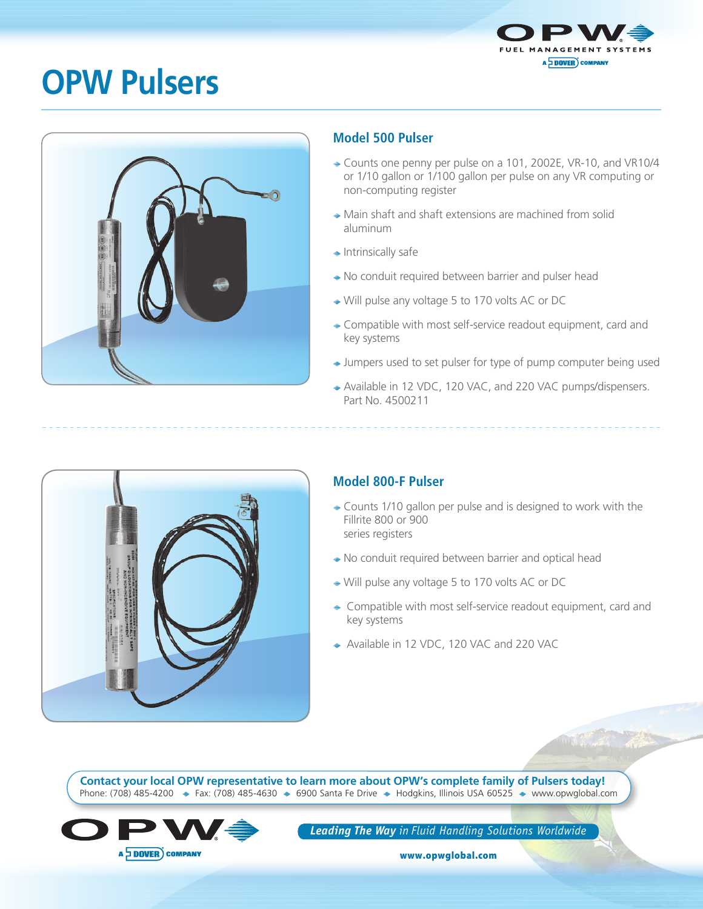

## **OPW Pulsers**



## **Model 500 Pulser**

- Counts one penny per pulse on a 101, 2002E, VR-10, and VR10/4 or 1/10 gallon or 1/100 gallon per pulse on any VR computing or non-computing register
- Main shaft and shaft extensions are machined from solid aluminum
- $\triangleq$  Intrinsically safe
- ◆ No conduit required between barrier and pulser head
- Will pulse any voltage 5 to 170 volts AC or DC
- **Exercise** Ompatible with most self-service readout equipment, card and key systems
- → Jumpers used to set pulser for type of pump computer being used
- ◆ Available in 12 VDC, 120 VAC, and 220 VAC pumps/dispensers. Part No. 4500211



## **Model 800-F Pulser**

- Counts 1/10 gallon per pulse and is designed to work with the Fillrite 800 or 900 series registers
- ◆ No conduit required between barrier and optical head
- Will pulse any voltage 5 to 170 volts AC or DC
- ◆ Compatible with most self-service readout equipment, card and key systems
- ◆ Available in 12 VDC, 120 VAC and 220 VAC

Phone: (708) 485-4200 • Fax: (708) 485-4630 • 6900 Santa Fe Drive • Hodgkins, Illinois USA 60525 • www.opwglobal.com **Contact your local OPW representative to learn more about OPW's complete family of Pulsers today!**



*Leading The Way in Fluid Handling Solutions Worldwide*

www.opwglobal.com